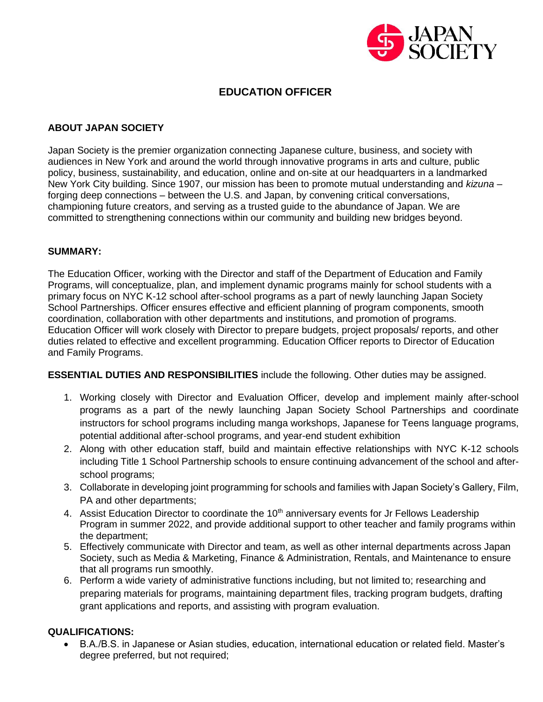

# **EDUCATION OFFICER**

# **ABOUT JAPAN SOCIETY**

Japan Society is the premier organization connecting Japanese culture, business, and society with audiences in New York and around the world through innovative programs in arts and culture, public policy, business, sustainability, and education, online and on-site at our headquarters in a landmarked New York City building. Since 1907, our mission has been to promote mutual understanding and *kizuna* – forging deep connections – between the U.S. and Japan, by convening critical conversations, championing future creators, and serving as a trusted guide to the abundance of Japan. We are committed to strengthening connections within our community and building new bridges beyond.

### **SUMMARY:**

The Education Officer, working with the Director and staff of the Department of Education and Family Programs, will conceptualize, plan, and implement dynamic programs mainly for school students with a primary focus on NYC K-12 school after-school programs as a part of newly launching Japan Society School Partnerships. Officer ensures effective and efficient planning of program components, smooth coordination, collaboration with other departments and institutions, and promotion of programs. Education Officer will work closely with Director to prepare budgets, project proposals/ reports, and other duties related to effective and excellent programming. Education Officer reports to Director of Education and Family Programs.

#### **ESSENTIAL DUTIES AND RESPONSIBILITIES** include the following. Other duties may be assigned.

- 1. Working closely with Director and Evaluation Officer, develop and implement mainly after-school programs as a part of the newly launching Japan Society School Partnerships and coordinate instructors for school programs including manga workshops, Japanese for Teens language programs, potential additional after-school programs, and year-end student exhibition
- 2. Along with other education staff, build and maintain effective relationships with NYC K-12 schools including Title 1 School Partnership schools to ensure continuing advancement of the school and afterschool programs;
- 3. Collaborate in developing joint programming for schools and families with Japan Society's Gallery, Film, PA and other departments;
- 4. Assist Education Director to coordinate the 10<sup>th</sup> anniversary events for Jr Fellows Leadership Program in summer 2022, and provide additional support to other teacher and family programs within the department;
- 5. Effectively communicate with Director and team, as well as other internal departments across Japan Society, such as Media & Marketing, Finance & Administration, Rentals, and Maintenance to ensure that all programs run smoothly.
- 6. Perform a wide variety of administrative functions including, but not limited to; researching and preparing materials for programs, maintaining department files, tracking program budgets, drafting grant applications and reports, and assisting with program evaluation.

# **QUALIFICATIONS:**

• B.A./B.S. in Japanese or Asian studies, education, international education or related field. Master's degree preferred, but not required;